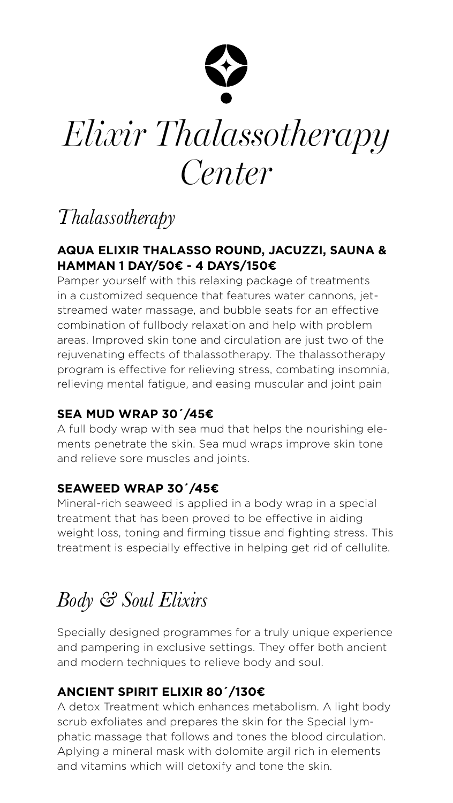### *Thalassotherapy*

### **AQUA ELIXIR THALASSO ROUND, JACUZZI, SAUNA & HAMMAN 1 DAY/50€ - 4 DAYS/150€**

Pamper yourself with this relaxing package of treatments in a customized sequence that features water cannons, jetstreamed water massage, and bubble seats for an effective combination of fullbody relaxation and help with problem areas. Improved skin tone and circulation are just two of the rejuvenating effects of thalassotherapy. The thalassotherapy program is effective for relieving stress, combating insomnia, relieving mental fatigue, and easing muscular and joint pain

### **SEA MUD WRAP 30´/45€**

A full body wrap with sea mud that helps the nourishing elements penetrate the skin. Sea mud wraps improve skin tone and relieve sore muscles and joints.

### **SEAWEED WRAP 30´/45€**

Mineral-rich seaweed is applied in a body wrap in a special treatment that has been proved to be effective in aiding weight loss, toning and firming tissue and fighting stress. This treatment is especially effective in helping get rid of cellulite.

## *Body & Soul Elixirs*

Specially designed programmes for a truly unique experience and pampering in exclusive settings. They offer both ancient and modern techniques to relieve body and soul.

### **ANCIENT SPIRIT ELIXIR 80´/130€**

A detox Treatment which enhances metabolism. A light body scrub exfoliates and prepares the skin for the Special lymphatic massage that follows and tones the blood circulation. Aplying a mineral mask with dolomite argil rich in elements and vitamins which will detoxify and tone the skin.



# *Elixir Thalassotherapy Center*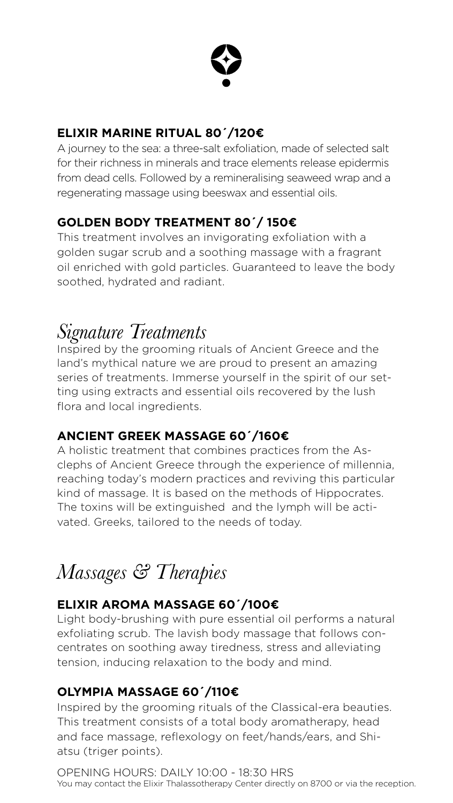

### **ELIXIR MARINE RITUAL 80´/120€**

A journey to the sea: a three-salt exfoliation, made of selected salt for their richness in minerals and trace elements release epidermis from dead cells. Followed by a remineralising seaweed wrap and a regenerating massage using beeswax and essential oils.

### **GOLDEN BODY TREATMENT 80´/ 150€**

This treatment involves an invigorating exfoliation with a golden sugar scrub and a soothing massage with a fragrant oil enriched with gold particles. Guaranteed to leave the body soothed, hydrated and radiant.

### *Signature Treatments*

Inspired by the grooming rituals of Ancient Greece and the land's mythical nature we are proud to present an amazing series of treatments. Immerse yourself in the spirit of our setting using extracts and essential oils recovered by the lush flora and local ingredients.

### **ANCIENT GREEK MASSAGE 60´/160€**

A holistic treatment that combines practices from the Asclephs of Αncient Greece through the experience of millennia, reaching today's modern practices and reviving this particular kind of massage. It is based on the methods of Hippocrates. The toxins will be extinguished and the lymph will be activated. Greeks, tailored to the needs of today.

## *Massages & Therapies*

### **ELIXIR AROMA MASSAGE 60´/100€**

Light body-brushing with pure essential oil performs a natural exfoliating scrub. The lavish body massage that follows concentrates on soothing away tiredness, stress and alleviating tension, inducing relaxation to the body and mind.

### **OLYMPIA MASSAGE 60´/110€**

Inspired by the grooming rituals of the Classical-era beauties. This treatment consists of a total body aromatherapy, head and face massage, reflexology on feet/hands/ears, and Shiatsu (triger points).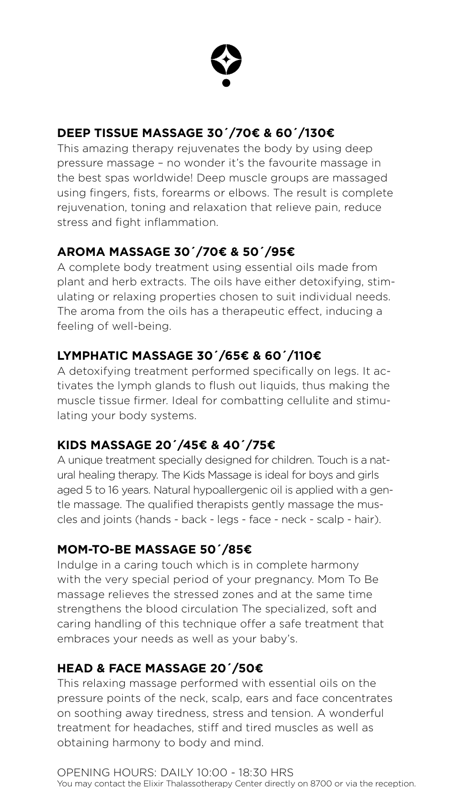

### **DEEP TISSUE MASSAGE 30´/70€ & 60´/130€**

This amazing therapy rejuvenates the body by using deep pressure massage – no wonder it's the favourite massage in the best spas worldwide! Deep muscle groups are massaged using fingers, fists, forearms or elbows. The result is complete rejuvenation, toning and relaxation that relieve pain, reduce stress and fight inflammation.

### **AROMA MASSAGE 30´/70€ & 50´/95€**

A complete body treatment using essential oils made from plant and herb extracts. The oils have either detoxifying, stimulating or relaxing properties chosen to suit individual needs. The aroma from the oils has a therapeutic effect, inducing a feeling of well-being.

### **LYMPHATIC MASSAGE 30´/65€ & 60´/110€**

A detoxifying treatment performed specifically on legs. It activates the lymph glands to flush out liquids, thus making the muscle tissue firmer. Ideal for combatting cellulite and stimulating your body systems.

### **KIDS MASSAGE 20´/45€ & 40´/75€**

A unique treatment specially designed for children. Touch is a natural healing therapy. The Kids Massage is ideal for boys and girls aged 5 to 16 years. Natural hypoallergenic oil is applied with a gentle massage. The qualified therapists gently massage the muscles and joints (hands - back - legs - face - neck - scalp - hair).

### **MOM-TO-BE MASSAGE 50´/85€**

Indulge in a caring touch which is in complete harmony with the very special period of your pregnancy. Mom To Be massage relieves the stressed zones and at the same time strengthens the blood circulation The specialized, soft and caring handling of this technique offer a safe treatment that

embraces your needs as well as your baby's.

### **HEAD & FACE MASSAGE 20´/50€**

This relaxing massage performed with essential oils on the pressure points of the neck, scalp, ears and face concentrates on soothing away tiredness, stress and tension. A wonderful treatment for headaches, stiff and tired muscles as well as obtaining harmony to body and mind.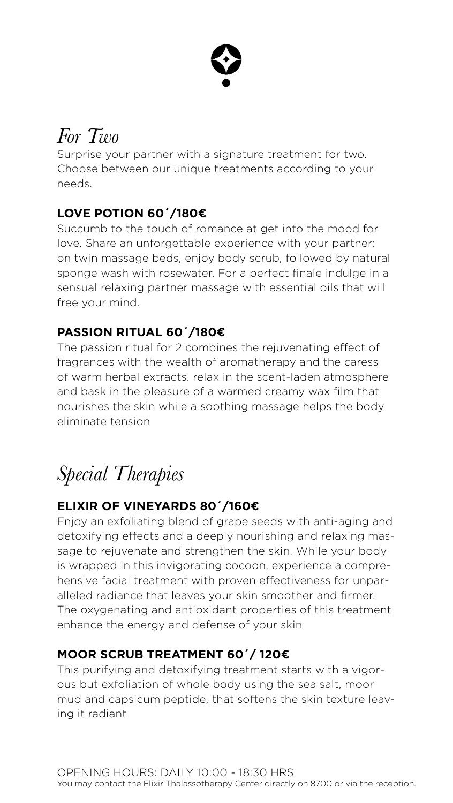## *For Two*

Surprise your partner with a signature treatment for two. Choose between our unique treatments according to your needs.

### **LOVE POTION 60΄/180€**

Succumb to the touch of romance at get into the mood for love. Share an unforgettable experience with your partner: on twin massage beds, enjoy body scrub, followed by natural sponge wash with rosewater. For a perfect finale indulge in a sensual relaxing partner massage with essential oils that will free your mind.

### **PASSION RITUAL 60΄/180€**

The passion ritual for 2 combines the rejuvenating effect of fragrances with the wealth of aromatherapy and the caress of warm herbal extracts. relax in the scent-laden atmosphere and bask in the pleasure of a warmed creamy wax film that nourishes the skin while a soothing massage helps the body eliminate tension

## *Special Therapies*

### **ELIXIR OF VINEYARDS 80´/160€**

Enjoy an exfoliating blend of grape seeds with anti-aging and detoxifying effects and a deeply nourishing and relaxing massage to rejuvenate and strengthen the skin. While your body is wrapped in this invigorating cocoon, experience a comprehensive facial treatment with proven effectiveness for unparalleled radiance that leaves your skin smoother and firmer. The oxygenating and antioxidant properties of this treatment enhance the energy and defense of your skin

### **MOOR SCRUB TREATMENT 60´/ 120€**

This purifying and detoxifying treatment starts with a vigorous but exfoliation of whole body using the sea salt, moor mud and capsicum peptide, that softens the skin texture leaving it radiant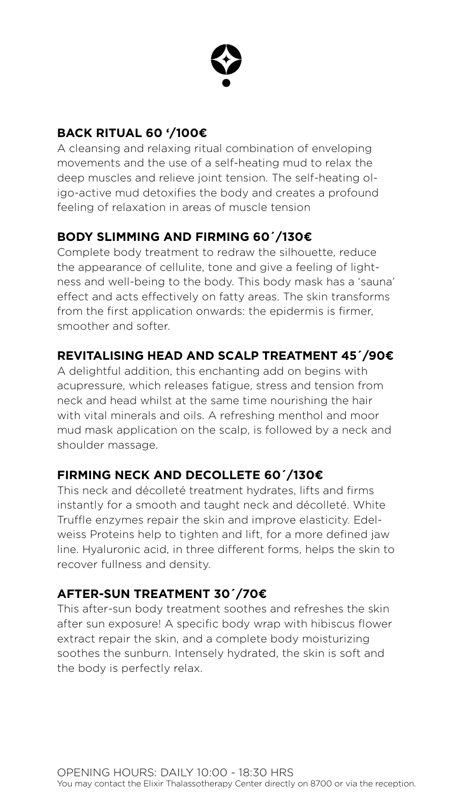

### **BACK RITUAL 60 '/100€**

A cleansing and relaxing ritual combination of enveloping movements and the use of a self-heating mud to relax the deep muscles and relieve joint tension. The self-heating oligo-active mud detoxifies the body and creates a profound feeling of relaxation in areas of muscle tension

### **BODY SLIMMING AND FIRMING 60´/130€**

Complete body treatment to redraw the silhouette, reduce the appearance of cellulite, tone and give a feeling of lightness and well-being to the body. This body mask has a 'sauna' effect and acts effectively on fatty areas. The skin transforms from the first application onwards: the epidermis is firmer, smoother and softer.

### **REVITALISING HEAD AND SCALP TREATMENT 45´/90€**

A delightful addition, this enchanting add on begins with acupressure, which releases fatigue, stress and tension from neck and head whilst at the same time nourishing the hair with vital minerals and oils. A refreshing menthol and moor mud mask application on the scalp, is followed by a neck and shoulder massage.

### **FIRMING NECK AND DECOLLETE 60´/130€**

This neck and décolleté treatment hydrates, lifts and firms instantly for a smooth and taught neck and décolleté. White Truffle enzymes repair the skin and improve elasticity. Edelweiss Proteins help to tighten and lift, for a more defined jaw line. Hyaluronic acid, in three different forms, helps the skin to recover fullness and density.

### **AFTER-SUN TREATMENT 30´/70€**

This after-sun body treatment soothes and refreshes the skin after sun exposure! A specific body wrap with hibiscus flower extract repair the skin, and a complete body moisturizing soothes the sunburn. Intensely hydrated, the skin is soft and the body is perfectly relax.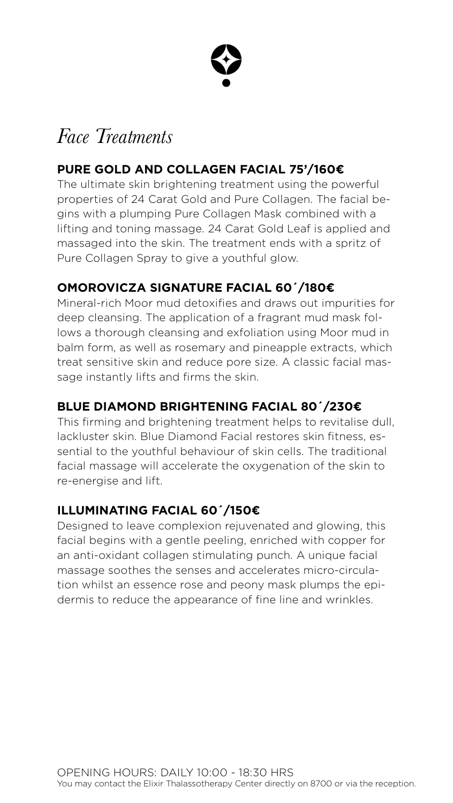### *Face Treatments*

### **PURE GOLD AND COLLAGEN FACIAL 75'/160€**

The ultimate skin brightening treatment using the powerful properties of 24 Carat Gold and Pure Collagen. The facial begins with a plumping Pure Collagen Mask combined with a lifting and toning massage. 24 Carat Gold Leaf is applied and massaged into the skin. The treatment ends with a spritz of Pure Collagen Spray to give a youthful glow.

### **OMOROVICZA SIGNATURE FACIAL 60´/180€**

Mineral-rich Moor mud detoxifies and draws out impurities for deep cleansing. The application of a fragrant mud mask follows a thorough cleansing and exfoliation using Moor mud in balm form, as well as rosemary and pineapple extracts, which treat sensitive skin and reduce pore size. A classic facial massage instantly lifts and firms the skin.

### **BLUE DIAMOND BRIGHTENING FACIAL 80´/230€**

This firming and brightening treatment helps to revitalise dull, lackluster skin. Blue Diamond Facial restores skin fitness, essential to the youthful behaviour of skin cells. The traditional facial massage will accelerate the oxygenation of the skin to re-energise and lift.

### **ILLUMINATING FACIAL 60´/150€**

Designed to leave complexion rejuvenated and glowing, this facial begins with a gentle peeling, enriched with copper for an anti-oxidant collagen stimulating punch. A unique facial massage soothes the senses and accelerates micro-circulation whilst an essence rose and peony mask plumps the epidermis to reduce the appearance of fine line and wrinkles.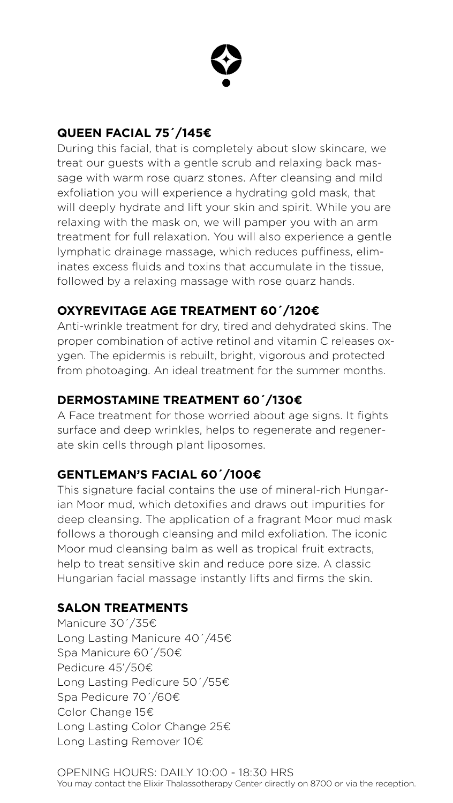

### **QUEEN FACIAL 75´/145€**

During this facial, that is completely about slow skincare, we treat our guests with a gentle scrub and relaxing back massage with warm rose quarz stones. After cleansing and mild exfoliation you will experience a hydrating gold mask, that will deeply hydrate and lift your skin and spirit. While you are relaxing with the mask on, we will pamper you with an arm treatment for full relaxation. You will also experience a gentle lymphatic drainage massage, which reduces puffiness, eliminates excess fluids and toxins that accumulate in the tissue, followed by a relaxing massage with rose quarz hands.

### **OXYREVITAGE AGE TREATMENT 60´/120€**

Anti-wrinkle treatment for dry, tired and dehydrated skins. The proper combination of active retinol and vitamin C releases oxygen. The epidermis is rebuilt, bright, vigorous and protected from photoaging. An ideal treatment for the summer months.

### **DERMOSTAMINE TREATMENT 60´/130€**

A Face treatment for those worried about age signs. It fights surface and deep wrinkles, helps to regenerate and regenerate skin cells through plant liposomes.

### **GENTLEMAN'S FACIAL 60´/100€**

This signature facial contains the use of mineral-rich Hungarian Moor mud, which detoxifies and draws out impurities for deep cleansing. The application of a fragrant Moor mud mask follows a thorough cleansing and mild exfoliation. The iconic Moor mud cleansing balm as well as tropical fruit extracts, help to treat sensitive skin and reduce pore size. A classic Hungarian facial massage instantly lifts and firms the skin.

### **SALON TREATMENTS**

Manicure 30´/35€

Long Lasting Manicure 40´/45€ Spa Manicure 60´/50€ Pedicure 45'/50€ Long Lasting Pedicure 50´/55€ Spa Pedicure 70´/60€ Color Change 15€ Long Lasting Color Change 25€ Long Lasting Remover 10€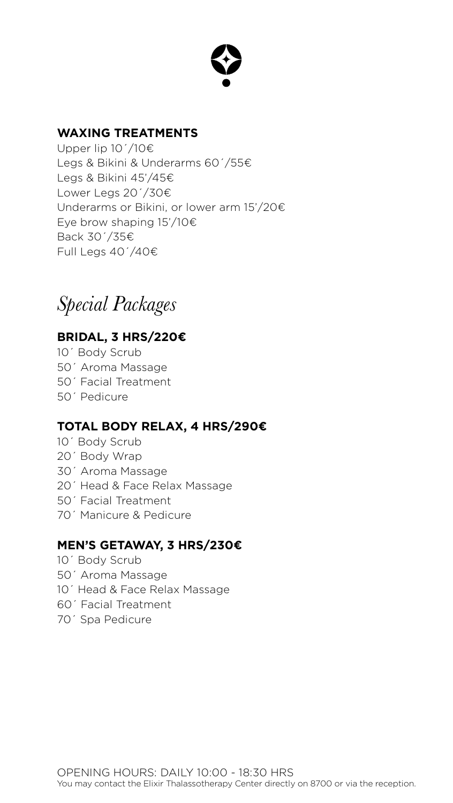### **WAXING TREATMENTS**

Upper lip  $10^7/10 \in$ Legs & Bikini & Underarms 60´/55€ Legs & Bikini 45'/45€ Lower Legs 20´/30€ Underarms or Bikini, or lower arm 15'/20€ Eye brow shaping 15'/10€ Back 30´/35€ Full Legs 40´/40€

*Special Packages*

### **BRIDAL, 3 HRS/220€**

- 10´ Body Scrub
- 50´ Aroma Massage
- 50´ Facial Treatment
- 50´ Pedicure

### **TOTAL BODY RELAX, 4 HRS/290€**

- 10´ Body Scrub
- 20´ Body Wrap
- 30´ Aroma Massage
- 20´ Head & Face Relax Massage
- 50´ Facial Treatment
- 70´ Manicure & Pedicure

### **MEN'S GETAWAY, 3 HRS/230€**

- 10´ Body Scrub
- 50´ Aroma Massage
- 10´ Head & Face Relax Massage
- 60´ Facial Treatment
- 70´ Spa Pedicure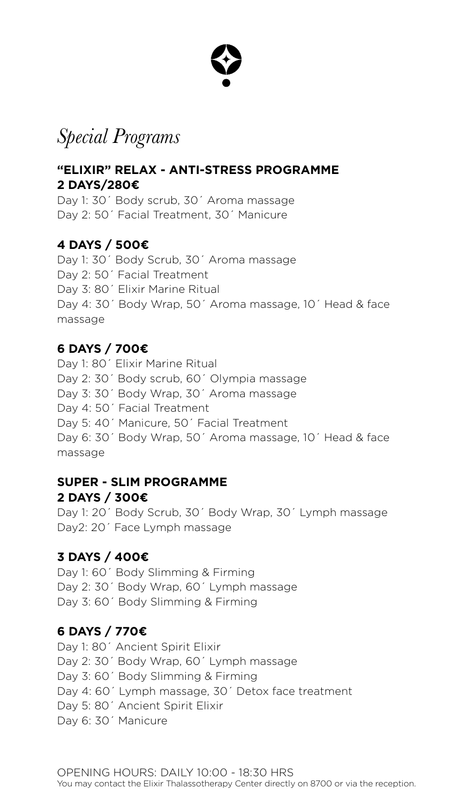### *Special Programs*

### **"ELIXIR" RELAX - ANTI-STRESS PROGRAMME 2 DAYS/280€**

Day 1: 30´ Body scrub, 30´ Aroma massage Day 2: 50´ Facial Treatment, 30´ Manicure

### **4 DAYS / 500€**

Day 1: 30´ Body Scrub, 30´ Aroma massage Day 2: 50<sup> $\degree$ </sup> Facial Treatment Day 3: 80´ Elixir Marine Ritual Day 4: 30´ Body Wrap, 50´ Aroma massage, 10´ Head & face massage

Day 1: 80<sup> $\degree$ </sup> Elixir Marine Ritual Day 2: 30´ Body scrub, 60´ Olympia massage Day 3: 30´ Body Wrap, 30´ Aroma massage Day 4: 50´ Facial Treatment Day 5: 40´ Manicure, 50´ Facial Treatment Day 6: 30´ Body Wrap, 50´ Aroma massage, 10´ Head & face massage

### **6 DAYS / 700€**

### **SUPER - SLIM PROGRAMME 2 DAYS / 300€**

Day 1: 20´ Body Scrub, 30´ Body Wrap, 30´ Lymph massage Day2: 20´ Face Lymph massage

### **3 DAYS / 400€**

Day 1: 60´ Body Slimming & Firming Day 2: 30´ Body Wrap, 60´ Lymph massage Day 3: 60´ Body Slimming & Firming

### **6 DAYS / 770€**

Day 1: 80´ Ancient Spirit Elixir Day 2: 30´ Body Wrap, 60´ Lymph massage Day 3: 60´ Body Slimming & Firming Day 4: 60´ Lymph massage, 30´ Detox face treatment Day 5: 80´ Ancient Spirit Elixir Day 6: 30´ Manicure